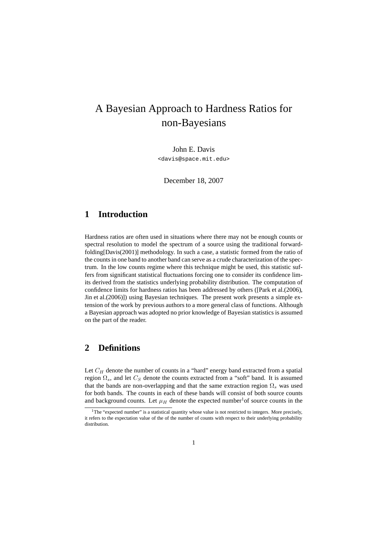# A Bayesian Approach to Hardness Ratios for non-Bayesians

John E. Davis <davis@space.mit.edu>

December 18, 2007

### **1 Introduction**

Hardness ratios are often used in situations where there may not be enough counts or spectral resolution to model the spectrum of a source using the traditional forwardfolding[Davis(2001)] methodology. In such a case, a statistic formed from the ratio of the counts in one band to another band can serve as a crude characterization of the spectrum. In the low counts regime where this technique might be used, this statistic suffers from significant statistical fluctuations forcing one to consider its confidence limits derived from the statistics underlying probability distribution. The computation of confidence limits for hardness ratios has been addressed by others ([Park et al.(2006), Jin et al.(2006)]) using Bayesian techniques. The present work presents a simple extension of the work by previous authors to a more general class of functions. Although a Bayesian approach was adopted no prior knowledge of Bayesian statistics is assumed on the part of the reader.

#### **2 Definitions**

Let  $C_H$  denote the number of counts in a "hard" energy band extracted from a spatial region  $\Omega_s$ , and let  $C_S$  denote the counts extracted from a "soft" band. It is assumed that the bands are non-overlapping and that the same extraction region  $\Omega_s$  was used for both bands. The counts in each of these bands will consist of both source counts and background counts. Let  $\mu_H$  denote the expected number<sup>1</sup> of source counts in the

 $1$ <sup>1</sup>The "expected number" is a statistical quantity whose value is not restricted to integers. More precisely, it refers to the expectation value of the of the number of counts with respect to their underlying probability distribution.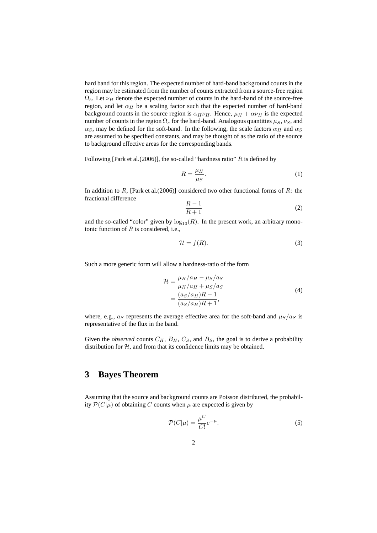hard band for this region. The expected number of hard-band background counts in the region may be estimated from the number of counts extracted from a source-free region  $\Omega_b$ . Let  $\nu_H$  denote the expected number of counts in the hard-band of the source-free region, and let  $\alpha_H$  be a scaling factor such that the expected number of hard-band background counts in the source region is  $\alpha_H \nu_H$ . Hence,  $\mu_H + \alpha \nu_H$  is the expected number of counts in the region  $\Omega_s$  for the hard-band. Analogous quantities  $\mu_S$ ,  $\nu_S$ , and  $\alpha_S$ , may be defined for the soft-band. In the following, the scale factors  $\alpha_H$  and  $\alpha_S$ are assumed to be specified constants, and may be thought of as the ratio of the source to background effective areas for the corresponding bands.

Following [Park et al.(2006)], the so-called "hardness ratio"  $R$  is defined by

$$
R = \frac{\mu_H}{\mu_S}.\tag{1}
$$

In addition to R, [Park et al.(2006)] considered two other functional forms of R: the fractional difference

$$
\frac{R-1}{R+1} \tag{2}
$$

and the so-called "color" given by  $\log_{10}(R)$ . In the present work, an arbitrary monotonic function of  $R$  is considered, i.e.,

$$
\mathcal{H} = f(R). \tag{3}
$$

Such a more generic form will allow a hardness-ratio of the form

$$
\mathcal{H} = \frac{\mu_H/a_H - \mu_S/a_S}{\mu_H/a_H + \mu_S/a_S}
$$
\n
$$
= \frac{(a_S/a_H)R - 1}{(a_S/a_H)R + 1},
$$
\n(4)

where, e.g.,  $a_S$  represents the average effective area for the soft-band and  $\mu_S/a_S$  is representative of the flux in the band.

Given the *observed* counts  $C_H$ ,  $B_H$ ,  $C_S$ , and  $B_S$ , the goal is to derive a probability distribution for  $H$ , and from that its confidence limits may be obtained.

# **3 Bayes Theorem**

Assuming that the source and background counts are Poisson distributed, the probability  $\mathcal{P}(C|\mu)$  of obtaining C counts when  $\mu$  are expected is given by

$$
\mathcal{P}(C|\mu) = \frac{\mu^C}{C!}e^{-\mu}.\tag{5}
$$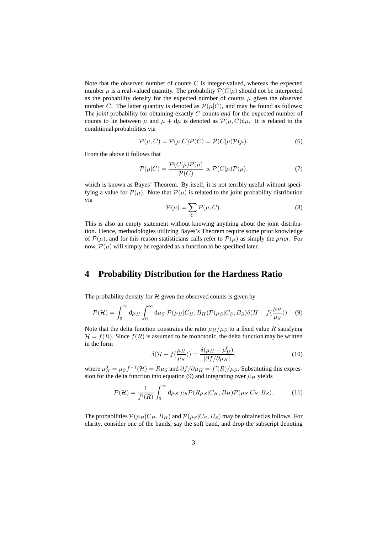Note that the observed number of counts  $C$  is integer-valued, whereas the expected number  $\mu$  is a real-valued quantity. The probability  $\mathcal{P}(C|\mu)$  should not be interpreted as the probability density for the expected number of counts  $\mu$  given the observed number C. The latter quantity is denoted as  $\mathcal{P}(\mu|C)$ , and may be found as follows: The *joint* probability for obtaining exactly C counts *and* for the expected number of counts to lie between  $\mu$  and  $\mu + d\mu$  is denoted as  $\mathcal{P}(\mu, C)d\mu$ . It is related to the conditional probabilities via

$$
\mathcal{P}(\mu, C) = \mathcal{P}(\mu|C)\mathcal{P}(C) = \mathcal{P}(C|\mu)\mathcal{P}(\mu).
$$
\n(6)

From the above it follows that

$$
\mathcal{P}(\mu|C) = \frac{\mathcal{P}(C|\mu)\mathcal{P}(\mu)}{\mathcal{P}(C)} \propto \mathcal{P}(C|\mu)\mathcal{P}(\mu),\tag{7}
$$

which is known as Bayes' Theorem. By itself, it is not terribly useful without specifying a value for  $\mathcal{P}(\mu)$ . Note that  $\mathcal{P}(\mu)$  is related to the joint probability distribution via

$$
\mathcal{P}(\mu) = \sum_{C} \mathcal{P}(\mu, C). \tag{8}
$$

This is also an empty statement without knowing anything about the joint distribution. Hence, methodologies utilizing Bayes's Theorem require some prior knowledge of  $P(\mu)$ , and for this reason statisticians calls refer to  $P(\mu)$  as simply the *prior*. For now,  $\mathcal{P}(\mu)$  will simply be regarded as a function to be specified later.

#### **4 Probability Distribution for the Hardness Ratio**

The probability density for  $H$  given the observed counts is given by

$$
\mathcal{P}(\mathcal{H}) = \int_0^\infty \mathrm{d}\mu_H \int_0^\infty \mathrm{d}\mu_S \ \mathcal{P}(\mu_H | C_H, B_H) \mathcal{P}(\mu_S | C_S, B_S) \delta(H - f(\frac{\mu_H}{\mu_S})) \tag{9}
$$

Note that the delta function constrains the ratio  $\mu_H/\mu_S$  to a fixed value R satisfying  $\mathcal{H} = f(R)$ . Since  $f(R)$  is assumed to be monotonic, the delta function may be written in the form

$$
\delta(\mathcal{H} - f(\frac{\mu_H}{\mu_S})) = \frac{\delta(\mu_H - \mu_H^0)}{|\partial f/\partial \mu_H|},\tag{10}
$$

where  $\mu_H^0 = \mu_S f^{-1}(\mathcal{H}) = R\mu_S$  and  $\partial f/\partial \mu_H = f'(R)/\mu_S$ . Substituting this expression for the delta function into equation (9) and integrating over  $\mu_H$  yields

$$
\mathcal{P}(\mathcal{H}) = \frac{1}{f'(R)} \int_0^\infty \mathrm{d}\mu_S \ \mu_S \mathcal{P}(R\mu_S|C_H, B_H) \mathcal{P}(\mu_S|C_S, B_S). \tag{11}
$$

The probabilities  $\mathcal{P}(\mu_H|C_H, B_H)$  and  $\mathcal{P}(\mu_S|C_S, B_S)$  may be obtained as follows. For clarity, consider one of the bands, say the soft band, and drop the subscript denoting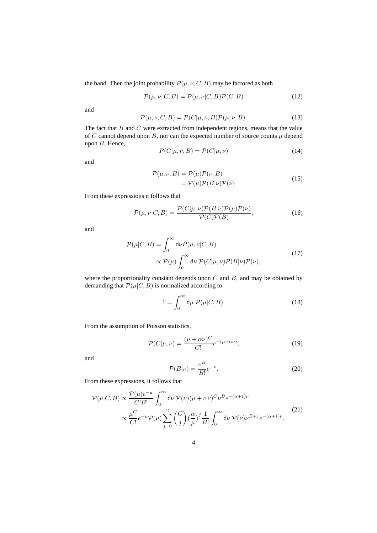the band. Then the joint probability  $\mathcal{P}(\mu, \nu, C, B)$  may be factored as both

$$
\mathcal{P}(\mu, \nu, C, B) = \mathcal{P}(\mu, \nu | C, B) \mathcal{P}(C, B) \tag{12}
$$

and

$$
\mathcal{P}(\mu, \nu, C, B) = \mathcal{P}(C|\mu, \nu, B)\mathcal{P}(\mu, \nu, B). \tag{13}
$$

The fact that  $B$  and  $C$  were extracted from independent regions, means that the value of C cannot depend upon B, nor can the expected number of source counts  $\mu$  depend upon B. Hence,

$$
P(C|\mu, \nu, B) = P(C|\mu, \nu)
$$
\n(14)

and

$$
\mathcal{P}(\mu, \nu, B) = \mathcal{P}(\mu)\mathcal{P}(\nu, B)
$$
  
=  $\mathcal{P}(\mu)\mathcal{P}(B|\nu)\mathcal{P}(\nu)$  (15)

From these expressions it follows that

$$
\mathcal{P}(\mu,\nu|C,B) = \frac{\mathcal{P}(C|\mu,\nu)\mathcal{P}(B|\nu)\mathcal{P}(\mu)\mathcal{P}(\nu)}{\mathcal{P}(C)\mathcal{P}(B)},\tag{16}
$$

and

$$
\mathcal{P}(\mu|C, B) = \int_0^\infty d\nu P(\mu, \nu|C, B) \n\propto \mathcal{P}(\mu) \int_0^\infty d\nu \ \mathcal{P}(C|\mu, \nu) \mathcal{P}(B|\nu) \mathcal{P}(\nu),
$$
\n(17)

where the proportionality constant depends upon  $C$  and  $B$ , and may be obtained by demanding that  $\mathcal{P}(\mu|C, B)$  is normalized according to

$$
1 = \int_0^\infty d\mu \, \mathcal{P}(\mu|C, B). \tag{18}
$$

From the assumption of Poisson statistics,

$$
\mathcal{P}(C|\mu,\nu) = \frac{(\mu + \alpha \nu)^C}{C!} e^{-(\mu + \alpha \nu)},\tag{19}
$$

and

$$
\mathcal{P}(B|\nu) = \frac{\nu^B}{B!} e^{-\nu}.
$$
\n(20)

From these expressions, it follows that

$$
\mathcal{P}(\mu|C,B) \propto \frac{\mathcal{P}(\mu)e^{-\mu}}{C!B!} \int_0^\infty d\nu \, \mathcal{P}(\nu)(\mu + \alpha \nu)^C \nu^B e^{-(\alpha+1)\nu} \propto \frac{\mu^C}{C!} e^{-\mu} \mathcal{P}(\mu) \sum_{j=0}^C \binom{C}{j} \left(\frac{\alpha}{\mu}\right)^j \frac{1}{B!} \int_0^\infty d\nu \, \mathcal{P}(\nu) \nu^{B+j} e^{-(\alpha+1)\nu}, \tag{21}
$$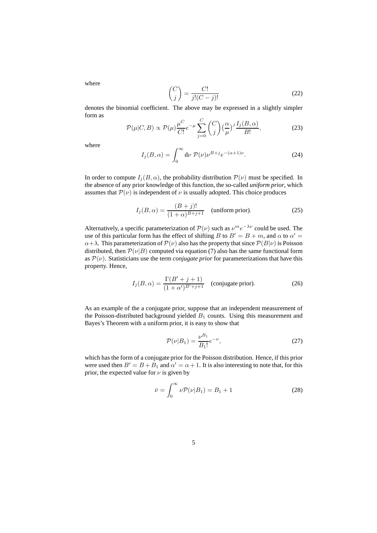where

$$
\binom{C}{j} = \frac{C!}{j!(C-j)!} \tag{22}
$$

denotes the binomial coefficient. The above may be expressed in a slightly simpler form as

$$
\mathcal{P}(\mu|C,B) \propto \mathcal{P}(\mu)\frac{\mu^C}{C!}e^{-\mu}\sum_{j=0}^C \binom{C}{j}\left(\frac{\alpha}{\mu}\right)^j \frac{I_j(B,\alpha)}{B!},\tag{23}
$$

where

$$
I_j(B,\alpha) = \int_0^\infty d\nu \, \mathcal{P}(\nu) \nu^{B+j} e^{-(\alpha+1)\nu}.
$$
 (24)

In order to compute  $I_i(B, \alpha)$ , the probability distribution  $\mathcal{P}(\nu)$  must be specified. In the absence of any prior knowledge of this function, the so-called *uniform prior*, which assumes that  $\mathcal{P}(\nu)$  is independent of  $\nu$  is usually adopted. This choice produces

$$
I_j(B, \alpha) = \frac{(B+j)!}{(1+\alpha)^{B+j+1}} \quad \text{(uniform prior).} \tag{25}
$$

Alternatively, a specific parameterization of  $\mathcal{P}(\nu)$  such as  $\nu^m e^{-\lambda \nu}$  could be used. The use of this particular form has the effect of shifting B to  $B' = B + m$ , and  $\alpha$  to  $\alpha' =$  $\alpha + \lambda$ . This parameterization of  $\mathcal{P}(\nu)$  also has the property that since  $\mathcal{P}(B|\nu)$  is Poisson distributed, then  $\mathcal{P}(\nu|B)$  computed via equation (7) also has the same functional form as  $P(\nu)$ . Statisticians use the term *conjugate prior* for parameterizations that have this property. Hence,

$$
I_j(B, \alpha) = \frac{\Gamma(B' + j + 1)}{(1 + \alpha')^{B' + j + 1}} \quad \text{(conjugate prior).} \tag{26}
$$

As an example of the a conjugate prior, suppose that an independent measurement of the Poisson-distributed background yielded  $B_1$  counts. Using this measurement and Bayes's Theorem with a uniform prior, it is easy to show that

$$
\mathcal{P}(\nu|B_1) = \frac{\nu^{B_1}}{B_1!}e^{-\nu},\tag{27}
$$

which has the form of a conjugate prior for the Poisson distribution. Hence, if this prior were used then  $B' = B + B_1$  and  $\alpha' = \alpha + 1$ . It is also interesting to note that, for this prior, the expected value for  $\nu$  is given by

$$
\bar{\nu} = \int_0^\infty \nu \mathcal{P}(\nu | B_1) = B_1 + 1 \tag{28}
$$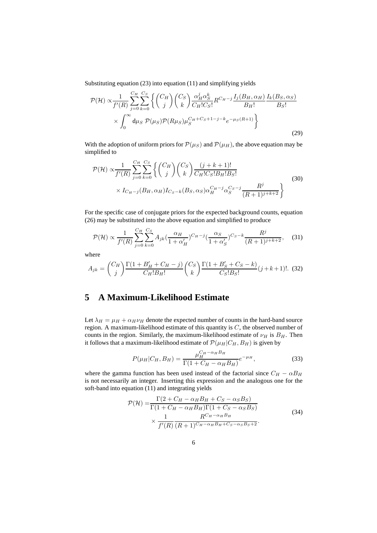Substituting equation (23) into equation (11) and simplifying yields

$$
\mathcal{P}(\mathcal{H}) \propto \frac{1}{f'(R)} \sum_{j=0}^{C_H} \sum_{k=0}^{C_S} \left\{ \binom{C_H}{j} \binom{C_S}{k} \frac{\alpha_H^j \alpha_S^k}{C_H! C_S!} R^{C_H-j} \frac{I_j(B_H, \alpha_H)}{B_H!} \frac{I_k(B_S, \alpha_S)}{B_S!} \right\}
$$

$$
\times \int_0^\infty d\mu_S \, \mathcal{P}(\mu_S) \mathcal{P}(R \mu_S) \mu_S^{C_H+C_S+1-j-k} e^{-\mu_S(R+1)} \right\} \tag{29}
$$

With the adoption of uniform priors for  $P(\mu_S)$  and  $P(\mu_H)$ , the above equation may be simplified to

$$
\mathcal{P}(\mathcal{H}) \propto \frac{1}{f'(R)} \sum_{j=0}^{C_H} \sum_{k=0}^{C_S} \left\{ \binom{C_H}{j} \binom{C_S}{k} \frac{(j+k+1)!}{C_H! C_S! B_H! B_S!} \times I_{C_H-j}(B_H, \alpha_H) I_{C_S-k}(B_S, \alpha_S) \alpha_H^{C_H-j} \alpha_S^{C_S-j} \frac{R^j}{(R+1)^{j+k+2}} \right\}
$$
(30)

For the specific case of conjugate priors for the expected background counts, equation (26) may be substituted into the above equation and simplified to produce

$$
\mathcal{P}(\mathcal{H}) \propto \frac{1}{f'(R)} \sum_{j=0}^{C_H} \sum_{k=0}^{C_S} A_{jk} \left(\frac{\alpha_H}{1 + \alpha'_H}\right)^{C_H - j} \left(\frac{\alpha_S}{1 + \alpha'_S}\right)^{C_S - k} \frac{R^j}{(R+1)^{j+k+2}},\tag{31}
$$

where

$$
A_{jk} = {C_H \choose j} \frac{\Gamma(1 + B'_H + C_H - j)}{C_H! B_H!} {C_S \choose k} \frac{\Gamma(1 + B'_S + C_S - k)}{C_S! B_S!} (j + k + 1)!. \tag{32}
$$

### **5 A Maximum-Likelihood Estimate**

Let  $\lambda_H = \mu_H + \alpha_H \nu_H$  denote the expected number of counts in the hard-band source region. A maximum-likelihood estimate of this quantity is C, the observed number of counts in the region. Similarly, the maximum-likelihood estimate of  $\nu_H$  is  $B_H$ . Then it follows that a maximum-likelihood estimate of  $\mathcal{P}(\mu_H|C_H, B_H)$  is given by

$$
P(\mu_H | C_H, B_H) = \frac{\mu_H^{C_H - \alpha_H B_H}}{\Gamma(1 + C_H - \alpha_H B_H)} e^{-\mu_H},
$$
\n(33)

where the gamma function has been used instead of the factorial since  $C_H - \alpha B_H$ is not necessarily an integer. Inserting this expression and the analogous one for the soft-band into equation (11) and integrating yields

$$
\mathcal{P}(\mathcal{H}) = \frac{\Gamma(2 + C_H - \alpha_H B_H + C_S - \alpha_S B_S)}{\Gamma(1 + C_H - \alpha_H B_H)\Gamma(1 + C_S - \alpha_S B_S)}
$$
\n
$$
\times \frac{1}{f'(R)} \frac{R^{C_H - \alpha_H B_H}}{(R + 1)^{C_H - \alpha_H B_H + C_S - \alpha_S B_S + 2}}.
$$
\n(34)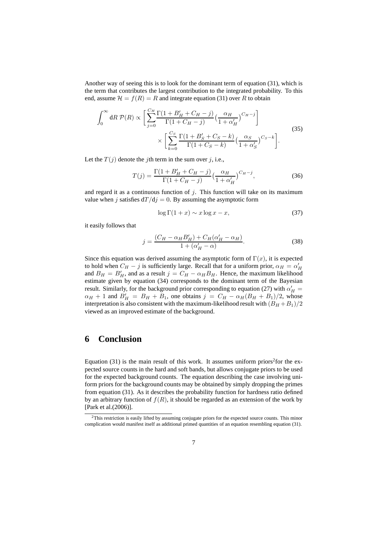Another way of seeing this is to look for the dominant term of equation (31), which is the term that contributes the largest contribution to the integrated probability. To this end, assume  $\mathcal{H} = f(R) = R$  and integrate equation (31) over R to obtain

$$
\int_0^\infty dR \, \mathcal{P}(R) \propto \left[ \sum_{j=0}^{C_H} \frac{\Gamma(1 + B'_H + C_H - j)}{\Gamma(1 + C_H - j)} \left( \frac{\alpha_H}{1 + \alpha'_H} \right)^{C_H - j} \right] \times \left[ \sum_{k=0}^{C_S} \frac{\Gamma(1 + B'_S + C_S - k)}{\Gamma(1 + C_S - k)} \left( \frac{\alpha_S}{1 + \alpha'_S} \right)^{C_S - k} \right].
$$
\n(35)

Let the  $T(j)$  denote the jth term in the sum over j, i.e.,

$$
T(j) = \frac{\Gamma(1 + B_H' + C_H - j)}{\Gamma(1 + C_H - j)} \left(\frac{\alpha_H}{1 + \alpha'_H}\right)^{C_H - j},\tag{36}
$$

and regard it as a continuous function of  $j$ . This function will take on its maximum value when j satisfies  $dT/dj = 0$ . By assuming the asymptotic form

$$
\log \Gamma(1+x) \sim x \log x - x,\tag{37}
$$

it easily follows that

$$
j = \frac{(C_H - \alpha_H B_H') + C_H(\alpha_H' - \alpha_H)}{1 + (\alpha_H' - \alpha)}.
$$
\n(38)

Since this equation was derived assuming the asymptotic form of  $\Gamma(x)$ , it is expected to hold when  $C_H - j$  is sufficiently large. Recall that for a uniform prior,  $\alpha_H = \alpha'_H$ and  $B_H = B'_H$ , and as a result  $j = C_H - \alpha_H B_H$ . Hence, the maximum likelihood estimate given by equation (34) corresponds to the dominant term of the Bayesian result. Similarly, for the background prior corresponding to equation (27) with  $\alpha'_H$  =  $\alpha_H + 1$  and  $B'_H = B_H + B_1$ , one obtains  $j = C_H - \alpha_H(B_H + B_1)/2$ , whose interpretation is also consistent with the maximum-likelihood result with  $(B_H + B_1)/2$ viewed as an improved estimate of the background.

#### **6 Conclusion**

Equation  $(31)$  is the main result of this work. It assumes uniform priors<sup>2</sup> for the expected source counts in the hard and soft bands, but allows conjugate priors to be used for the expected background counts. The equation describing the case involving uniform priors for the background counts may be obtained by simply dropping the primes from equation (31). As it describes the probability function for hardness ratio defined by an arbitrary function of  $f(R)$ , it should be regarded as an extension of the work by [Park et al.(2006)].

<sup>&</sup>lt;sup>2</sup>This restriction is easily lifted by assuming conjugate priors for the expected source counts. This minor complication would manifest itself as additional primed quantities of an equation resembling equation (31).